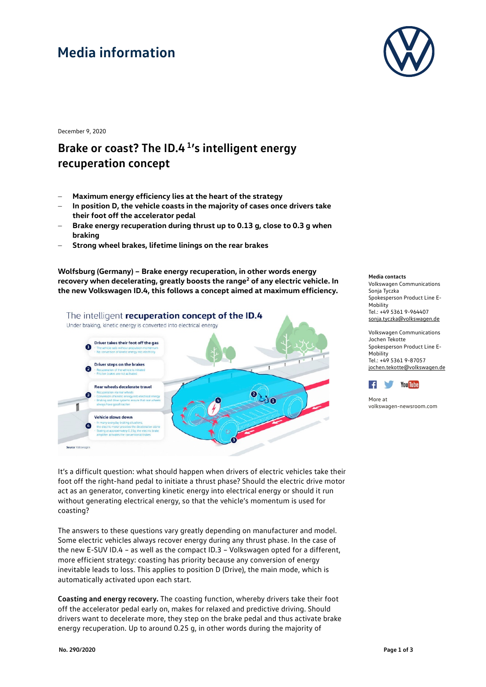# **Media information**



December 9, 2020

#### **Brake or coast? The ID.4 1's intelligent energy recuperation concept**

- − **Maximum energy efficiency lies at the heart of the strategy**
- In position D, the vehicle coasts in the majority of cases once drivers take **their foot off the accelerator pedal**
- − **Brake energy recuperation during thrust up to 0.13 g, close to 0.3 g when braking**
- − **Strong wheel brakes, lifetime linings on the rear brakes**

**Wolfsburg (Germany) – Brake energy recuperation, in other words energy**  recovery when decelerating, greatly boosts the range<sup>2</sup> of any electric vehicle. In **the new Volkswagen ID.4, this follows a concept aimed at maximum efficiency.**



#### **Media contacts**

Volkswagen Communications Sonja Tyczka Spokesperson Product Line E-**Mobility** Tel.: +49 5361 9-964407 [sonja.tyczka@volkswagen.de](mailto:sonja.tyczka@volkswagen.de)

Volkswagen Communications Jochen Tekotte Spokesperson Product Line E-Mobility Tel.: +49 5361 9-87057 [jochen.tekotte@volkswagen.de](mailto:jochen.tekotte@volkswagen.de)



More at [volkswagen-newsroom.com](https://www.volkswagen-media-services.com/)

It's a difficult question: what should happen when drivers of electric vehicles take their foot off the right-hand pedal to initiate a thrust phase? Should the electric drive motor act as an generator, converting kinetic energy into electrical energy or should it run without generating electrical energy, so that the vehicle's momentum is used for coasting?

The answers to these questions vary greatly depending on manufacturer and model. Some electric vehicles always recover energy during any thrust phase. In the case of the new E-SUV ID.4 – as well as the compact ID.3 – Volkswagen opted for a different, more efficient strategy: coasting has priority because any conversion of energy inevitable leads to loss. This applies to position D (Drive), the main mode, which is automatically activated upon each start.

**Coasting and energy recovery.** The coasting function, whereby drivers take their foot off the accelerator pedal early on, makes for relaxed and predictive driving. Should drivers want to decelerate more, they step on the brake pedal and thus activate brake energy recuperation. Up to around 0.25 g, in other words during the majority of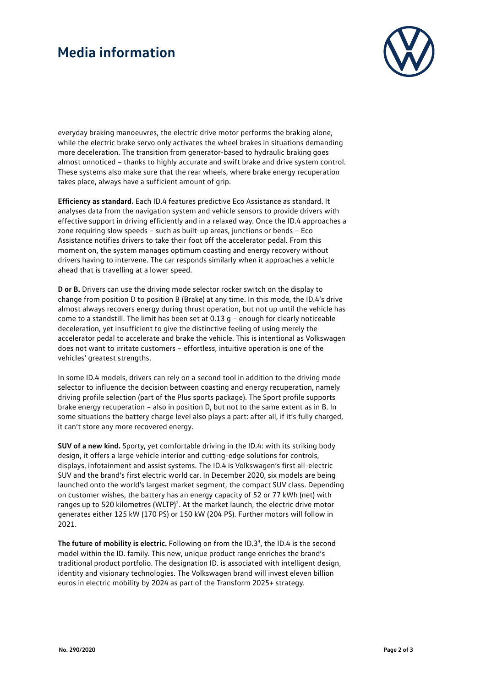## **Media information**



everyday braking manoeuvres, the electric drive motor performs the braking alone, while the electric brake servo only activates the wheel brakes in situations demanding more deceleration. The transition from generator-based to hydraulic braking goes almost unnoticed – thanks to highly accurate and swift brake and drive system control. These systems also make sure that the rear wheels, where brake energy recuperation takes place, always have a sufficient amount of grip.

**Efficiency as standard.** Each ID.4 features predictive Eco Assistance as standard. It analyses data from the navigation system and vehicle sensors to provide drivers with effective support in driving efficiently and in a relaxed way. Once the ID.4 approaches a zone requiring slow speeds – such as built-up areas, junctions or bends – Eco Assistance notifies drivers to take their foot off the accelerator pedal. From this moment on, the system manages optimum coasting and energy recovery without drivers having to intervene. The car responds similarly when it approaches a vehicle ahead that is travelling at a lower speed.

**D or B.** Drivers can use the driving mode selector rocker switch on the display to change from position D to position B (Brake) at any time. In this mode, the ID.4's drive almost always recovers energy during thrust operation, but not up until the vehicle has come to a standstill. The limit has been set at 0.13 g – enough for clearly noticeable deceleration, yet insufficient to give the distinctive feeling of using merely the accelerator pedal to accelerate and brake the vehicle. This is intentional as Volkswagen does not want to irritate customers – effortless, intuitive operation is one of the vehicles' greatest strengths.

In some ID.4 models, drivers can rely on a second tool in addition to the driving mode selector to influence the decision between coasting and energy recuperation, namely driving profile selection (part of the Plus sports package). The Sport profile supports brake energy recuperation – also in position D, but not to the same extent as in B. In some situations the battery charge level also plays a part: after all, if it's fully charged, it can't store any more recovered energy.

**SUV of a new kind.** Sporty, yet comfortable driving in the ID.4: with its striking body design, it offers a large vehicle interior and cutting-edge solutions for controls, displays, infotainment and assist systems. The ID.4 is Volkswagen's first all-electric SUV and the brand's first electric world car. In December 2020, six models are being launched onto the world's largest market segment, the compact SUV class. Depending on customer wishes, the battery has an energy capacity of 52 or 77 kWh (net) with ranges up to 520 kilometres (WLTP)<sup>2</sup>. At the market launch, the electric drive motor generates either 125 kW (170 PS) or 150 kW (204 PS). Further motors will follow in 2021.

The future of mobility is electric. Following on from the ID.3<sup>3</sup>, the ID.4 is the second model within the ID. family. This new, unique product range enriches the brand's traditional product portfolio. The designation ID. is associated with intelligent design, identity and visionary technologies. The Volkswagen brand will invest eleven billion euros in electric mobility by 2024 as part of the Transform 2025+ strategy.